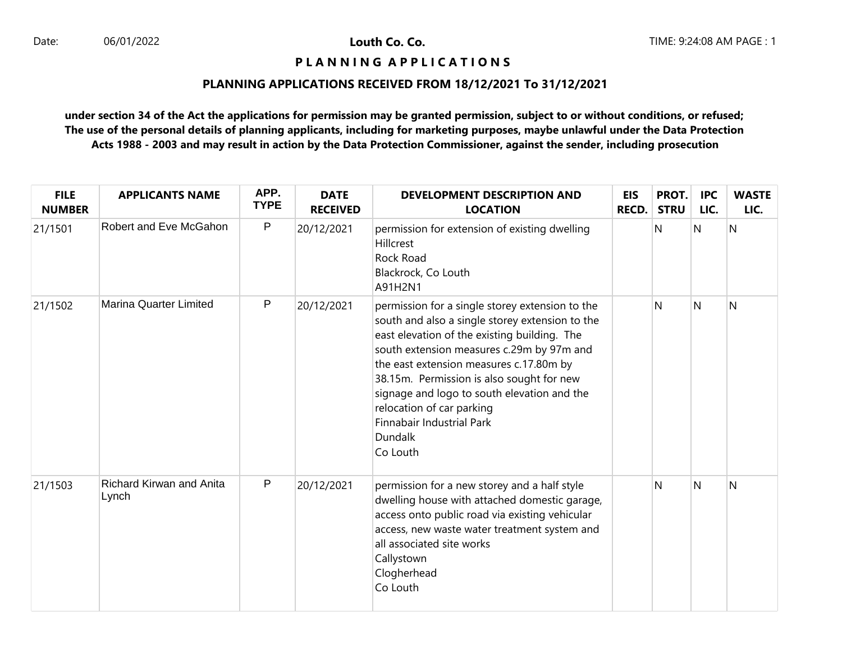# **P L A N N I N G A P P L I C A T I O N S**

# **PLANNING APPLICATIONS RECEIVED FROM 18/12/2021 To 31/12/2021**

| <b>FILE</b><br><b>NUMBER</b> | <b>APPLICANTS NAME</b>            | APP.<br><b>TYPE</b> | <b>DATE</b><br><b>RECEIVED</b> | <b>DEVELOPMENT DESCRIPTION AND</b><br><b>LOCATION</b>                                                                                                                                                                                                                                                                                                                                                                   | <b>EIS</b><br><b>RECD.</b> | PROT.<br><b>STRU</b> | <b>IPC</b><br>LIC. | <b>WASTE</b><br>LIC. |
|------------------------------|-----------------------------------|---------------------|--------------------------------|-------------------------------------------------------------------------------------------------------------------------------------------------------------------------------------------------------------------------------------------------------------------------------------------------------------------------------------------------------------------------------------------------------------------------|----------------------------|----------------------|--------------------|----------------------|
| 21/1501                      | Robert and Eve McGahon            | $\mathsf{P}$        | 20/12/2021                     | permission for extension of existing dwelling<br><b>Hillcrest</b><br>Rock Road<br>Blackrock, Co Louth<br>A91H2N1                                                                                                                                                                                                                                                                                                        |                            | N                    | N                  | N                    |
| 21/1502                      | <b>Marina Quarter Limited</b>     | P                   | 20/12/2021                     | permission for a single storey extension to the<br>south and also a single storey extension to the<br>east elevation of the existing building. The<br>south extension measures c.29m by 97m and<br>the east extension measures c.17.80m by<br>38.15m. Permission is also sought for new<br>signage and logo to south elevation and the<br>relocation of car parking<br>Finnabair Industrial Park<br>Dundalk<br>Co Louth |                            | N                    | $\mathsf{N}$       | N                    |
| 21/1503                      | Richard Kirwan and Anita<br>Lynch | $\sf P$             | 20/12/2021                     | permission for a new storey and a half style<br>dwelling house with attached domestic garage,<br>access onto public road via existing vehicular<br>access, new waste water treatment system and<br>all associated site works<br>Callystown<br>Clogherhead<br>Co Louth                                                                                                                                                   |                            | N                    | N                  | N                    |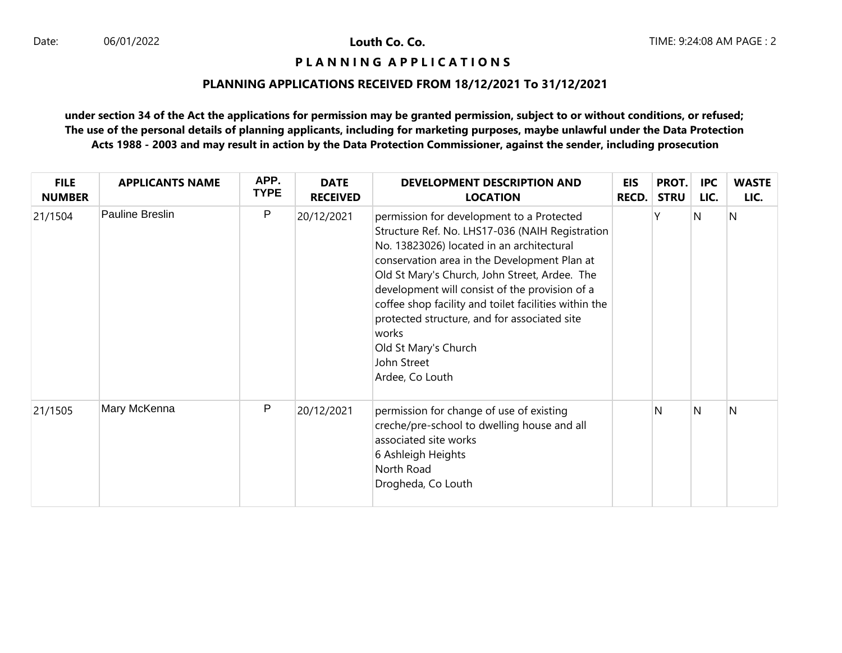## **P L A N N I N G A P P L I C A T I O N S**

# **PLANNING APPLICATIONS RECEIVED FROM 18/12/2021 To 31/12/2021**

| <b>FILE</b><br><b>NUMBER</b> | <b>APPLICANTS NAME</b> | APP.<br><b>TYPE</b> | <b>DATE</b><br><b>RECEIVED</b> | <b>DEVELOPMENT DESCRIPTION AND</b><br><b>LOCATION</b>                                                                                                                                                                                                                                                                                                                                                                                                                    | <b>EIS</b><br><b>RECD.</b> | PROT.<br><b>STRU</b> | <b>IPC</b><br>LIC. | <b>WASTE</b><br>LIC. |
|------------------------------|------------------------|---------------------|--------------------------------|--------------------------------------------------------------------------------------------------------------------------------------------------------------------------------------------------------------------------------------------------------------------------------------------------------------------------------------------------------------------------------------------------------------------------------------------------------------------------|----------------------------|----------------------|--------------------|----------------------|
| 21/1504                      | Pauline Breslin        | P                   | 20/12/2021                     | permission for development to a Protected<br>Structure Ref. No. LHS17-036 (NAIH Registration<br>No. 13823026) located in an architectural<br>conservation area in the Development Plan at<br>Old St Mary's Church, John Street, Ardee. The<br>development will consist of the provision of a<br>coffee shop facility and toilet facilities within the<br>protected structure, and for associated site<br>works<br>Old St Mary's Church<br>John Street<br>Ardee, Co Louth |                            | Υ                    | N                  | IN.                  |
| 21/1505                      | Mary McKenna           | P                   | 20/12/2021                     | permission for change of use of existing<br>creche/pre-school to dwelling house and all<br>associated site works<br>6 Ashleigh Heights<br>North Road<br>Drogheda, Co Louth                                                                                                                                                                                                                                                                                               |                            | N                    | N                  | N                    |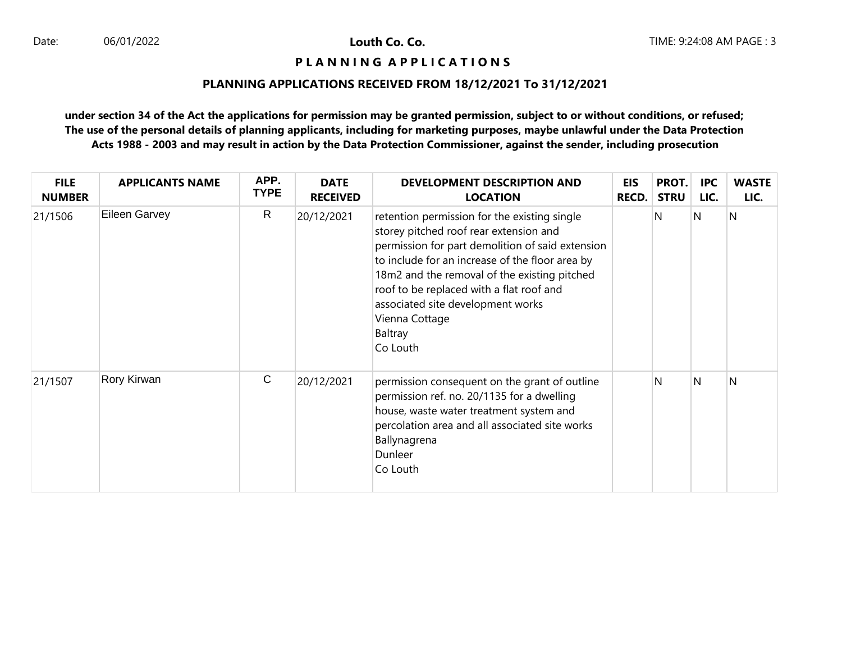### **P L A N N I N G A P P L I C A T I O N S**

## **PLANNING APPLICATIONS RECEIVED FROM 18/12/2021 To 31/12/2021**

| <b>FILE</b><br><b>NUMBER</b> | <b>APPLICANTS NAME</b> | APP.<br><b>TYPE</b> | <b>DATE</b><br><b>RECEIVED</b> | DEVELOPMENT DESCRIPTION AND<br><b>LOCATION</b>                                                                                                                                                                                                                                                                                                                          | <b>EIS</b><br><b>RECD.</b> | PROT.<br><b>STRU</b> | <b>IPC</b><br>LIC. | <b>WASTE</b><br>LIC. |
|------------------------------|------------------------|---------------------|--------------------------------|-------------------------------------------------------------------------------------------------------------------------------------------------------------------------------------------------------------------------------------------------------------------------------------------------------------------------------------------------------------------------|----------------------------|----------------------|--------------------|----------------------|
| 21/1506                      | Eileen Garvey          | $\mathsf{R}$        | 20/12/2021                     | retention permission for the existing single<br>storey pitched roof rear extension and<br>permission for part demolition of said extension<br>to include for an increase of the floor area by<br>18m2 and the removal of the existing pitched<br>roof to be replaced with a flat roof and<br>associated site development works<br>Vienna Cottage<br>Baltray<br>Co Louth |                            | N                    | N                  | $\overline{N}$       |
| 21/1507                      | Rory Kirwan            | $\mathsf{C}$        | 20/12/2021                     | permission consequent on the grant of outline<br>permission ref. no. 20/1135 for a dwelling<br>house, waste water treatment system and<br>percolation area and all associated site works<br>Ballynagrena<br>Dunleer<br>Co Louth                                                                                                                                         |                            | N                    | N                  | N                    |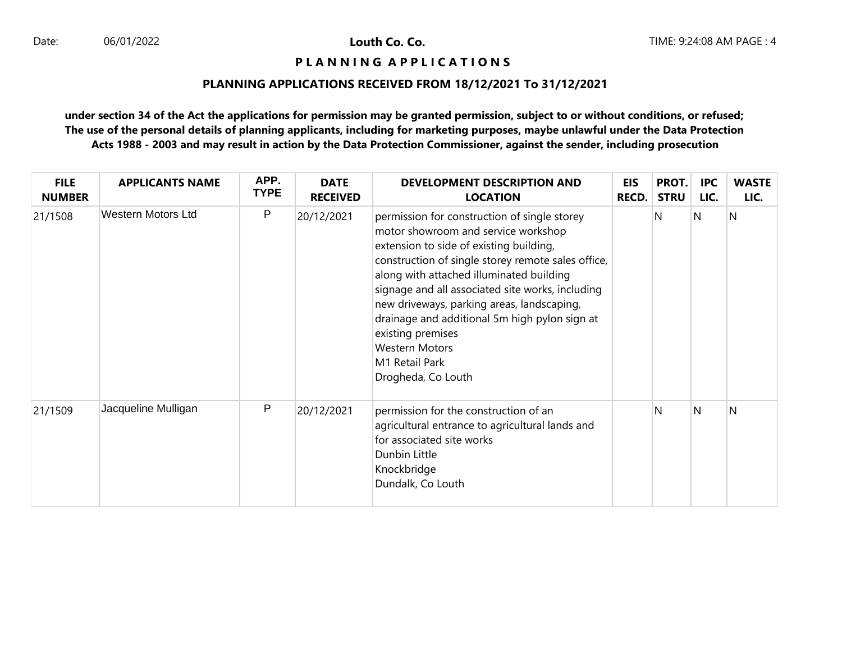## **P L A N N I N G A P P L I C A T I O N S**

# **PLANNING APPLICATIONS RECEIVED FROM 18/12/2021 To 31/12/2021**

| <b>FILE</b><br><b>NUMBER</b> | <b>APPLICANTS NAME</b> | APP.<br><b>TYPE</b> | <b>DATE</b><br><b>RECEIVED</b> | DEVELOPMENT DESCRIPTION AND<br><b>LOCATION</b>                                                                                                                                                                                                                                                                                                                                                                                                                            | <b>EIS</b><br><b>RECD.</b> | PROT.<br><b>STRU</b> | <b>IPC</b><br>LIC. | <b>WASTE</b><br>LIC. |
|------------------------------|------------------------|---------------------|--------------------------------|---------------------------------------------------------------------------------------------------------------------------------------------------------------------------------------------------------------------------------------------------------------------------------------------------------------------------------------------------------------------------------------------------------------------------------------------------------------------------|----------------------------|----------------------|--------------------|----------------------|
| 21/1508                      | Western Motors Ltd     | $\mathsf{P}$        | 20/12/2021                     | permission for construction of single storey<br>motor showroom and service workshop<br>extension to side of existing building,<br>construction of single storey remote sales office,<br>along with attached illuminated building<br>signage and all associated site works, including<br>new driveways, parking areas, landscaping,<br>drainage and additional 5m high pylon sign at<br>existing premises<br><b>Western Motors</b><br>M1 Retail Park<br>Drogheda, Co Louth |                            | N                    | N                  | N                    |
| 21/1509                      | Jacqueline Mulligan    | $\mathsf{P}$        | 20/12/2021                     | permission for the construction of an<br>agricultural entrance to agricultural lands and<br>for associated site works<br>Dunbin Little<br>Knockbridge<br>Dundalk, Co Louth                                                                                                                                                                                                                                                                                                |                            | N                    | N                  | N                    |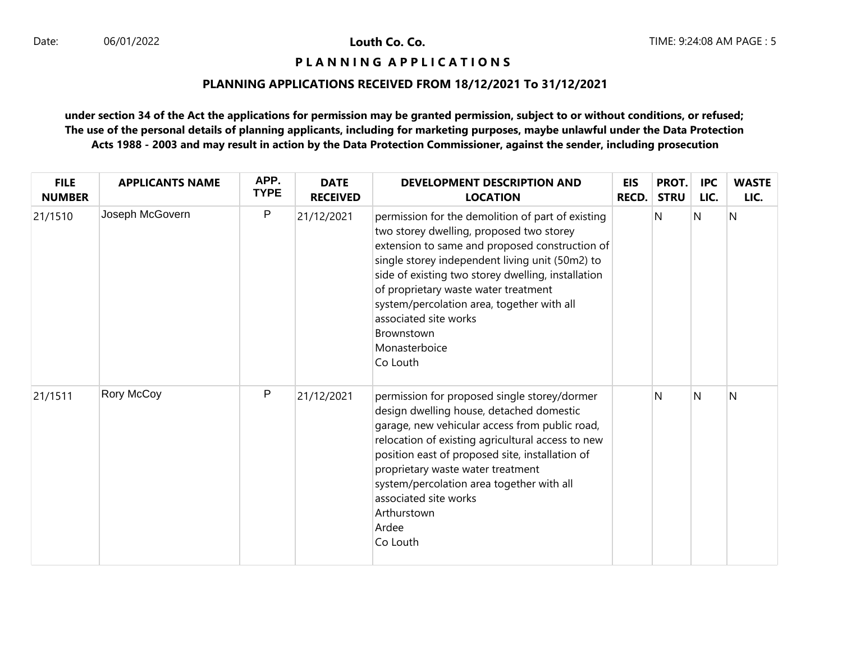### **P L A N N I N G A P P L I C A T I O N S**

## **PLANNING APPLICATIONS RECEIVED FROM 18/12/2021 To 31/12/2021**

| <b>FILE</b><br><b>NUMBER</b> | <b>APPLICANTS NAME</b> | APP.<br><b>TYPE</b> | <b>DATE</b><br><b>RECEIVED</b> | DEVELOPMENT DESCRIPTION AND<br><b>LOCATION</b>                                                                                                                                                                                                                                                                                                                                                                     | EIS<br><b>RECD.</b> | PROT.<br><b>STRU</b> | <b>IPC</b><br>LIC.      | <b>WASTE</b><br>LIC. |
|------------------------------|------------------------|---------------------|--------------------------------|--------------------------------------------------------------------------------------------------------------------------------------------------------------------------------------------------------------------------------------------------------------------------------------------------------------------------------------------------------------------------------------------------------------------|---------------------|----------------------|-------------------------|----------------------|
| 21/1510                      | Joseph McGovern        | P                   | 21/12/2021                     | permission for the demolition of part of existing<br>two storey dwelling, proposed two storey<br>extension to same and proposed construction of<br>single storey independent living unit (50m2) to<br>side of existing two storey dwelling, installation<br>of proprietary waste water treatment<br>system/percolation area, together with all<br>associated site works<br>Brownstown<br>Monasterboice<br>Co Louth |                     | N                    | $\overline{\mathsf{N}}$ | N                    |
| 21/1511                      | Rory McCoy             | P                   | 21/12/2021                     | permission for proposed single storey/dormer<br>design dwelling house, detached domestic<br>garage, new vehicular access from public road,<br>relocation of existing agricultural access to new<br>position east of proposed site, installation of<br>proprietary waste water treatment<br>system/percolation area together with all<br>associated site works<br>Arthurstown<br>Ardee<br>Co Louth                  |                     | N                    | <sup>N</sup>            | N                    |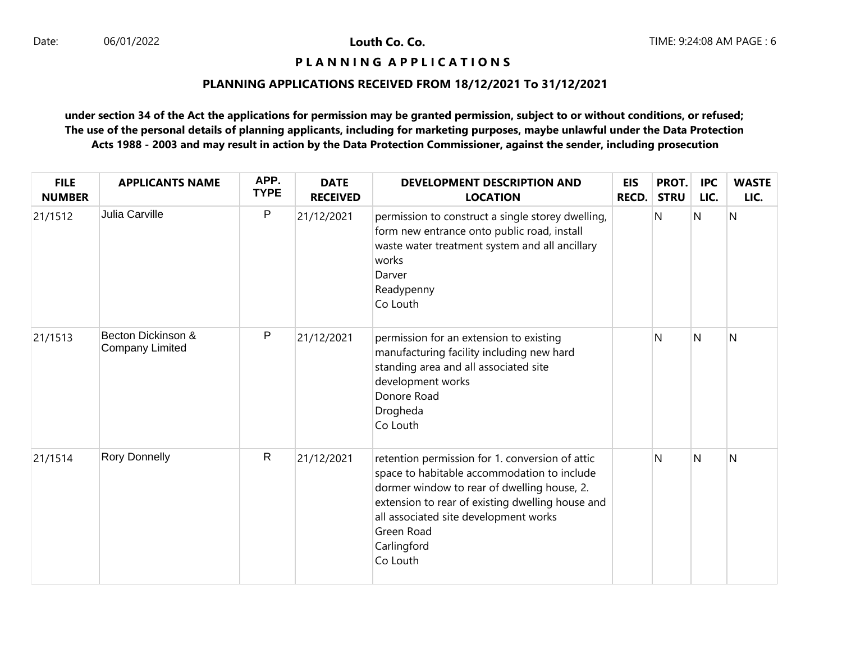## **P L A N N I N G A P P L I C A T I O N S**

# **PLANNING APPLICATIONS RECEIVED FROM 18/12/2021 To 31/12/2021**

| <b>FILE</b><br><b>NUMBER</b> | <b>APPLICANTS NAME</b>                | APP.<br><b>TYPE</b> | <b>DATE</b><br><b>RECEIVED</b> | <b>DEVELOPMENT DESCRIPTION AND</b><br><b>LOCATION</b>                                                                                                                                                                                                                               | <b>EIS</b><br><b>RECD.</b> | PROT.<br><b>STRU</b> | <b>IPC</b><br>LIC. | <b>WASTE</b><br>LIC. |
|------------------------------|---------------------------------------|---------------------|--------------------------------|-------------------------------------------------------------------------------------------------------------------------------------------------------------------------------------------------------------------------------------------------------------------------------------|----------------------------|----------------------|--------------------|----------------------|
| 21/1512                      | Julia Carville                        | P                   | 21/12/2021                     | permission to construct a single storey dwelling,<br>form new entrance onto public road, install<br>waste water treatment system and all ancillary<br>works<br>Darver<br>Readypenny<br>Co Louth                                                                                     |                            | N                    | N                  | N                    |
| 21/1513                      | Becton Dickinson &<br>Company Limited | P                   | 21/12/2021                     | permission for an extension to existing<br>manufacturing facility including new hard<br>standing area and all associated site<br>development works<br>Donore Road<br>Drogheda<br>Co Louth                                                                                           |                            | N                    | N                  | N                    |
| 21/1514                      | <b>Rory Donnelly</b>                  | $\mathsf{R}$        | 21/12/2021                     | retention permission for 1. conversion of attic<br>space to habitable accommodation to include<br>dormer window to rear of dwelling house, 2.<br>extension to rear of existing dwelling house and<br>all associated site development works<br>Green Road<br>Carlingford<br>Co Louth |                            | N                    | N                  | $\mathsf{N}$         |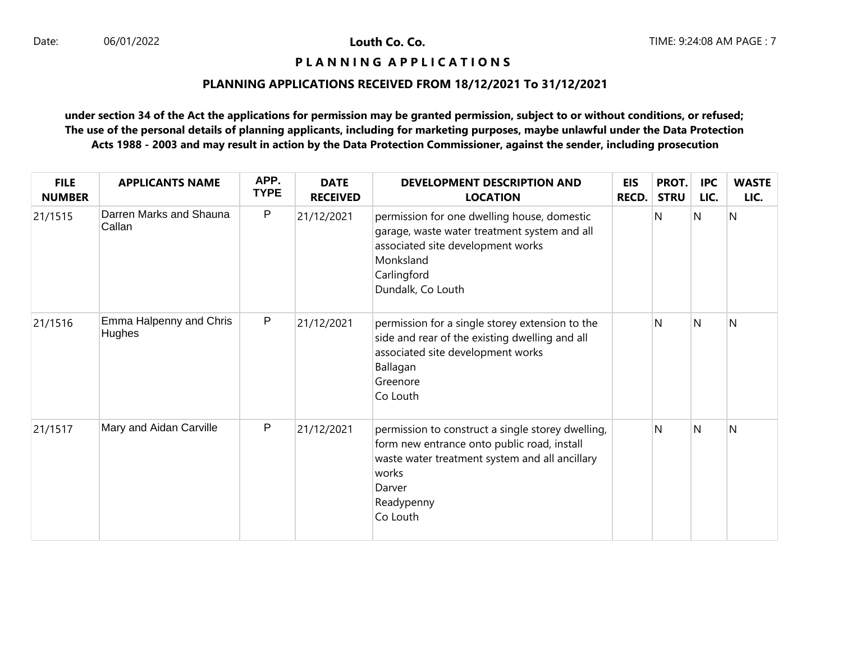## **P L A N N I N G A P P L I C A T I O N S**

# **PLANNING APPLICATIONS RECEIVED FROM 18/12/2021 To 31/12/2021**

| <b>FILE</b><br><b>NUMBER</b> | <b>APPLICANTS NAME</b>                   | APP.<br><b>TYPE</b> | <b>DATE</b><br><b>RECEIVED</b> | <b>DEVELOPMENT DESCRIPTION AND</b><br><b>LOCATION</b>                                                                                                                                           | <b>EIS</b><br><b>RECD.</b> | PROT.<br><b>STRU</b> | <b>IPC</b><br>LIC. | <b>WASTE</b><br>LIC. |
|------------------------------|------------------------------------------|---------------------|--------------------------------|-------------------------------------------------------------------------------------------------------------------------------------------------------------------------------------------------|----------------------------|----------------------|--------------------|----------------------|
| 21/1515                      | Darren Marks and Shauna<br>Callan        | P                   | 21/12/2021                     | permission for one dwelling house, domestic<br>garage, waste water treatment system and all<br>associated site development works<br>Monksland<br>Carlingford<br>Dundalk, Co Louth               |                            | N                    | N                  | N                    |
| 21/1516                      | Emma Halpenny and Chris<br><b>Hughes</b> | P                   | 21/12/2021                     | permission for a single storey extension to the<br>side and rear of the existing dwelling and all<br>associated site development works<br>Ballagan<br>Greenore<br>Co Louth                      |                            | N                    | <sup>N</sup>       | N                    |
| 21/1517                      | Mary and Aidan Carville                  | $\mathsf{P}$        | 21/12/2021                     | permission to construct a single storey dwelling,<br>form new entrance onto public road, install<br>waste water treatment system and all ancillary<br>works<br>Darver<br>Readypenny<br>Co Louth |                            | N                    | <sup>N</sup>       | N                    |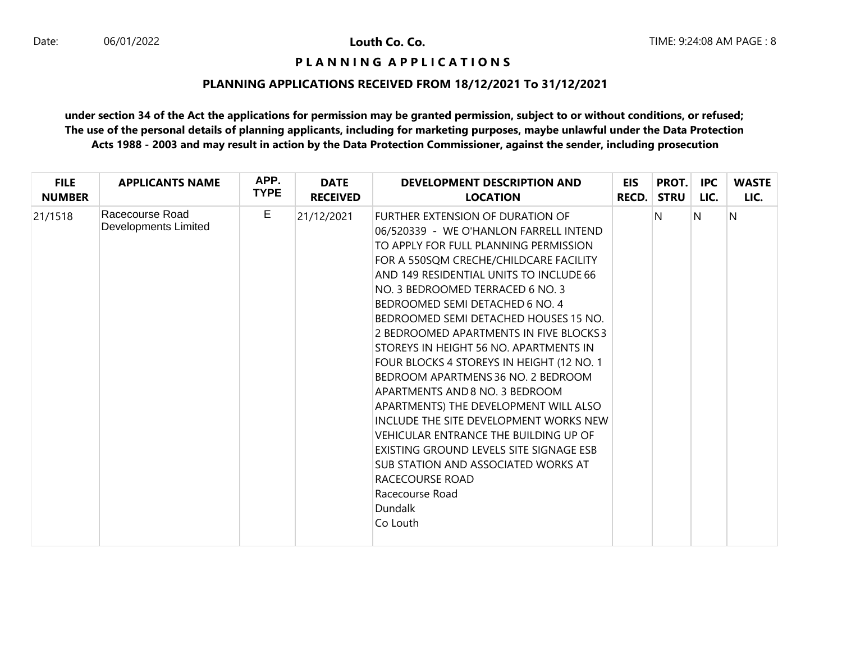### **P L A N N I N G A P P L I C A T I O N S**

### **PLANNING APPLICATIONS RECEIVED FROM 18/12/2021 To 31/12/2021**

| <b>FILE</b>   | <b>APPLICANTS NAME</b>                  | APP.        | <b>DATE</b>     | DEVELOPMENT DESCRIPTION AND                                                                                                                                                                                                                                                                                                                                                                                                                                                                                                                                                                                                                                                                                                                                                                                  | <b>EIS</b>   | PROT.       | IPC. | <b>WASTE</b> |
|---------------|-----------------------------------------|-------------|-----------------|--------------------------------------------------------------------------------------------------------------------------------------------------------------------------------------------------------------------------------------------------------------------------------------------------------------------------------------------------------------------------------------------------------------------------------------------------------------------------------------------------------------------------------------------------------------------------------------------------------------------------------------------------------------------------------------------------------------------------------------------------------------------------------------------------------------|--------------|-------------|------|--------------|
| <b>NUMBER</b> |                                         | <b>TYPE</b> | <b>RECEIVED</b> | <b>LOCATION</b>                                                                                                                                                                                                                                                                                                                                                                                                                                                                                                                                                                                                                                                                                                                                                                                              | <b>RECD.</b> | <b>STRU</b> | LIC. | LIC.         |
| 21/1518       | Racecourse Road<br>Developments Limited | E           | 21/12/2021      | FURTHER EXTENSION OF DURATION OF<br>06/520339 - WE O'HANLON FARRELL INTEND<br>TO APPLY FOR FULL PLANNING PERMISSION<br>FOR A 550SOM CRECHE/CHILDCARE FACILITY<br>AND 149 RESIDENTIAL UNITS TO INCLUDE 66<br>NO. 3 BEDROOMED TERRACED 6 NO. 3<br>BEDROOMED SEMI DETACHED 6 NO. 4<br>BEDROOMED SEMI DETACHED HOUSES 15 NO.<br>2 BEDROOMED APARTMENTS IN FIVE BLOCKS3<br>STOREYS IN HEIGHT 56 NO. APARTMENTS IN<br>FOUR BLOCKS 4 STOREYS IN HEIGHT (12 NO. 1<br>BEDROOM APARTMENS 36 NO. 2 BEDROOM<br>APARTMENTS AND 8 NO. 3 BEDROOM<br>APARTMENTS) THE DEVELOPMENT WILL ALSO<br>INCLUDE THE SITE DEVELOPMENT WORKS NEW<br>VEHICULAR ENTRANCE THE BUILDING UP OF<br>EXISTING GROUND LEVELS SITE SIGNAGE ESB<br>SUB STATION AND ASSOCIATED WORKS AT<br>RACECOURSE ROAD<br>Racecourse Road<br>Dundalk<br>Co Louth |              | N           | N    | N            |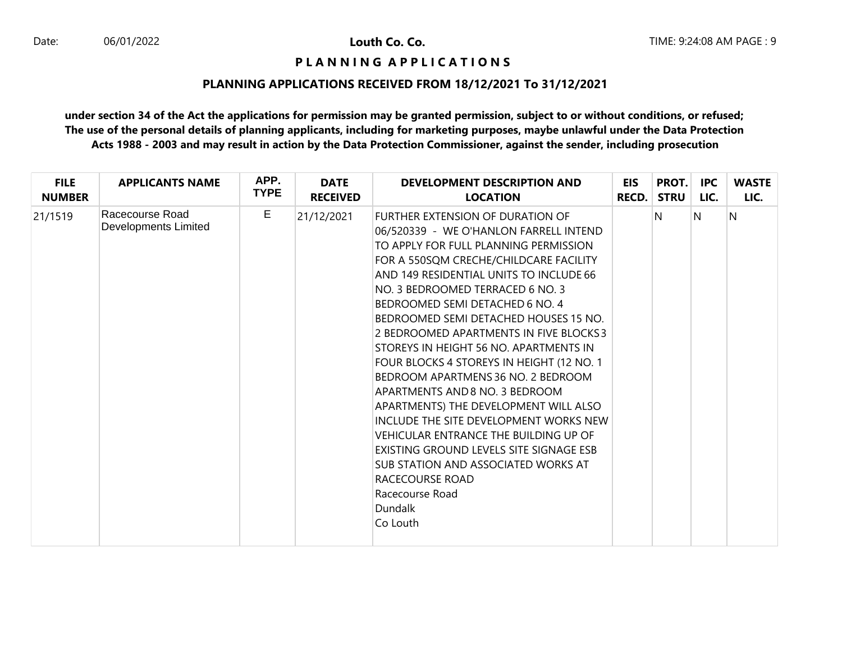### **P L A N N I N G A P P L I C A T I O N S**

### **PLANNING APPLICATIONS RECEIVED FROM 18/12/2021 To 31/12/2021**

| <b>FILE</b>   | <b>APPLICANTS NAME</b>                  | APP.        | <b>DATE</b>     | DEVELOPMENT DESCRIPTION AND                                                                                                                                                                                                                                                                                                                                                                                                                                                                                                                                                                                                                                                                                                                                                                                                | <b>EIS</b> | PROT.       | IPC. | <b>WASTE</b> |
|---------------|-----------------------------------------|-------------|-----------------|----------------------------------------------------------------------------------------------------------------------------------------------------------------------------------------------------------------------------------------------------------------------------------------------------------------------------------------------------------------------------------------------------------------------------------------------------------------------------------------------------------------------------------------------------------------------------------------------------------------------------------------------------------------------------------------------------------------------------------------------------------------------------------------------------------------------------|------------|-------------|------|--------------|
| <b>NUMBER</b> |                                         | <b>TYPE</b> | <b>RECEIVED</b> | <b>LOCATION</b>                                                                                                                                                                                                                                                                                                                                                                                                                                                                                                                                                                                                                                                                                                                                                                                                            | RECD.      | <b>STRU</b> | LIC. | LIC.         |
| 21/1519       | Racecourse Road<br>Developments Limited | E           | 21/12/2021      | <b>FURTHER EXTENSION OF DURATION OF</b><br>06/520339 - WE O'HANLON FARRELL INTEND<br>TO APPLY FOR FULL PLANNING PERMISSION<br>FOR A 550SOM CRECHE/CHILDCARE FACILITY<br>AND 149 RESIDENTIAL UNITS TO INCLUDE 66<br>NO. 3 BEDROOMED TERRACED 6 NO. 3<br>BEDROOMED SEMI DETACHED 6 NO. 4<br>BEDROOMED SEMI DETACHED HOUSES 15 NO.<br>2 BEDROOMED APARTMENTS IN FIVE BLOCKS3<br>STOREYS IN HEIGHT 56 NO. APARTMENTS IN<br>FOUR BLOCKS 4 STOREYS IN HEIGHT (12 NO. 1<br>BEDROOM APARTMENS 36 NO. 2 BEDROOM<br>APARTMENTS AND 8 NO. 3 BEDROOM<br>APARTMENTS) THE DEVELOPMENT WILL ALSO<br>INCLUDE THE SITE DEVELOPMENT WORKS NEW<br>VEHICULAR ENTRANCE THE BUILDING UP OF<br>EXISTING GROUND LEVELS SITE SIGNAGE ESB<br>SUB STATION AND ASSOCIATED WORKS AT<br>RACECOURSE ROAD<br>Racecourse Road<br><b>Dundalk</b><br>Co Louth |            | N           | N    | N            |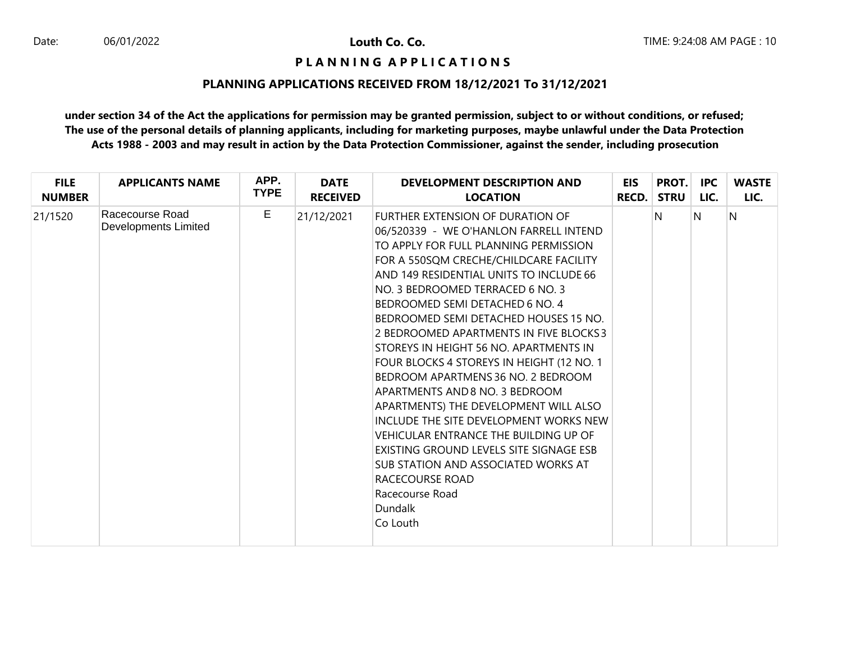# **P L A N N I N G A P P L I C A T I O N S**

### **PLANNING APPLICATIONS RECEIVED FROM 18/12/2021 To 31/12/2021**

| <b>FILE</b>   | <b>APPLICANTS NAME</b>                  | APP.        | <b>DATE</b>     | DEVELOPMENT DESCRIPTION AND                                                                                                                                                                                                                                                                                                                                                                                                                                                                                                                                                                                                                                                                                                                                                                                  | EIS          | PROT.       | IPC. | <b>WASTE</b> |
|---------------|-----------------------------------------|-------------|-----------------|--------------------------------------------------------------------------------------------------------------------------------------------------------------------------------------------------------------------------------------------------------------------------------------------------------------------------------------------------------------------------------------------------------------------------------------------------------------------------------------------------------------------------------------------------------------------------------------------------------------------------------------------------------------------------------------------------------------------------------------------------------------------------------------------------------------|--------------|-------------|------|--------------|
| <b>NUMBER</b> |                                         | <b>TYPE</b> | <b>RECEIVED</b> | <b>LOCATION</b>                                                                                                                                                                                                                                                                                                                                                                                                                                                                                                                                                                                                                                                                                                                                                                                              | <b>RECD.</b> | <b>STRU</b> | LIC. | LIC.         |
| 21/1520       | Racecourse Road<br>Developments Limited | E           | 21/12/2021      | FURTHER EXTENSION OF DURATION OF<br>06/520339 - WE O'HANLON FARRELL INTEND<br>TO APPLY FOR FULL PLANNING PERMISSION<br>FOR A 550SQM CRECHE/CHILDCARE FACILITY<br>AND 149 RESIDENTIAL UNITS TO INCLUDE 66<br>NO. 3 BEDROOMED TERRACED 6 NO. 3<br>BEDROOMED SEMI DETACHED 6 NO. 4<br>BEDROOMED SEMI DETACHED HOUSES 15 NO.<br>2 BEDROOMED APARTMENTS IN FIVE BLOCKS3<br>STOREYS IN HEIGHT 56 NO. APARTMENTS IN<br>FOUR BLOCKS 4 STOREYS IN HEIGHT (12 NO. 1<br>BEDROOM APARTMENS 36 NO. 2 BEDROOM<br>APARTMENTS AND 8 NO. 3 BEDROOM<br>APARTMENTS) THE DEVELOPMENT WILL ALSO<br>INCLUDE THE SITE DEVELOPMENT WORKS NEW<br>VEHICULAR ENTRANCE THE BUILDING UP OF<br>EXISTING GROUND LEVELS SITE SIGNAGE ESB<br>SUB STATION AND ASSOCIATED WORKS AT<br>RACECOURSE ROAD<br>Racecourse Road<br>Dundalk<br>Co Louth |              | N           | N    | N            |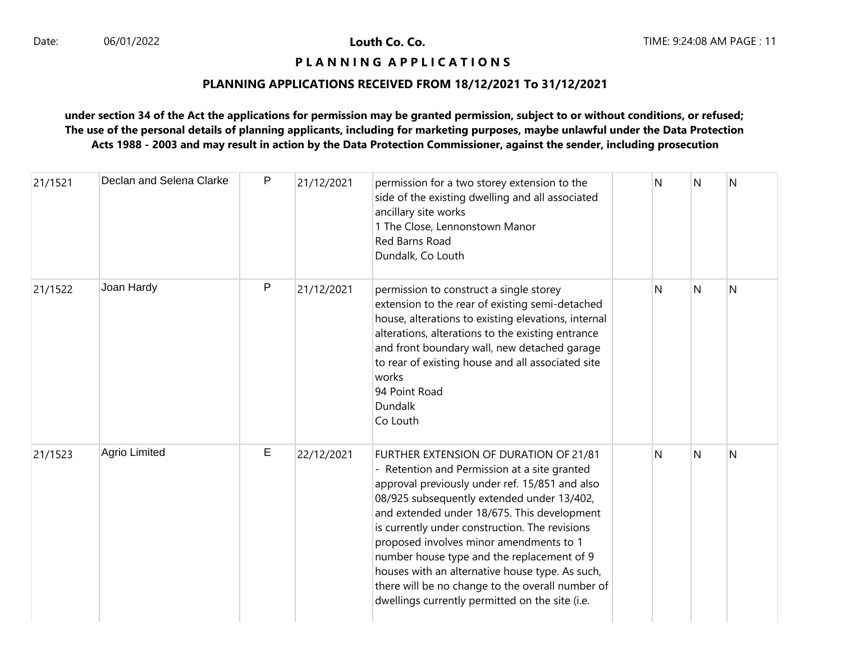# **P L A N N I N G A P P L I C A T I O N S**

# **PLANNING APPLICATIONS RECEIVED FROM 18/12/2021 To 31/12/2021**

| 21/1521 | Declan and Selena Clarke | P | 21/12/2021 | permission for a two storey extension to the<br>side of the existing dwelling and all associated<br>ancillary site works<br>1 The Close, Lennonstown Manor<br>Red Barns Road<br>Dundalk, Co Louth                                                                                                                                                                                                                                                                                                                                          | N | N            | $\mathsf{N}$ |
|---------|--------------------------|---|------------|--------------------------------------------------------------------------------------------------------------------------------------------------------------------------------------------------------------------------------------------------------------------------------------------------------------------------------------------------------------------------------------------------------------------------------------------------------------------------------------------------------------------------------------------|---|--------------|--------------|
| 21/1522 | Joan Hardy               | P | 21/12/2021 | permission to construct a single storey<br>extension to the rear of existing semi-detached<br>house, alterations to existing elevations, internal<br>alterations, alterations to the existing entrance<br>and front boundary wall, new detached garage<br>to rear of existing house and all associated site<br>works<br>94 Point Road<br>Dundalk<br>Co Louth                                                                                                                                                                               | N | N            | N            |
| 21/1523 | Agrio Limited            | Е | 22/12/2021 | FURTHER EXTENSION OF DURATION OF 21/81<br>- Retention and Permission at a site granted<br>approval previously under ref. 15/851 and also<br>08/925 subsequently extended under 13/402,<br>and extended under 18/675. This development<br>is currently under construction. The revisions<br>proposed involves minor amendments to 1<br>number house type and the replacement of 9<br>houses with an alternative house type. As such,<br>there will be no change to the overall number of<br>dwellings currently permitted on the site (i.e. | N | <sup>N</sup> | N            |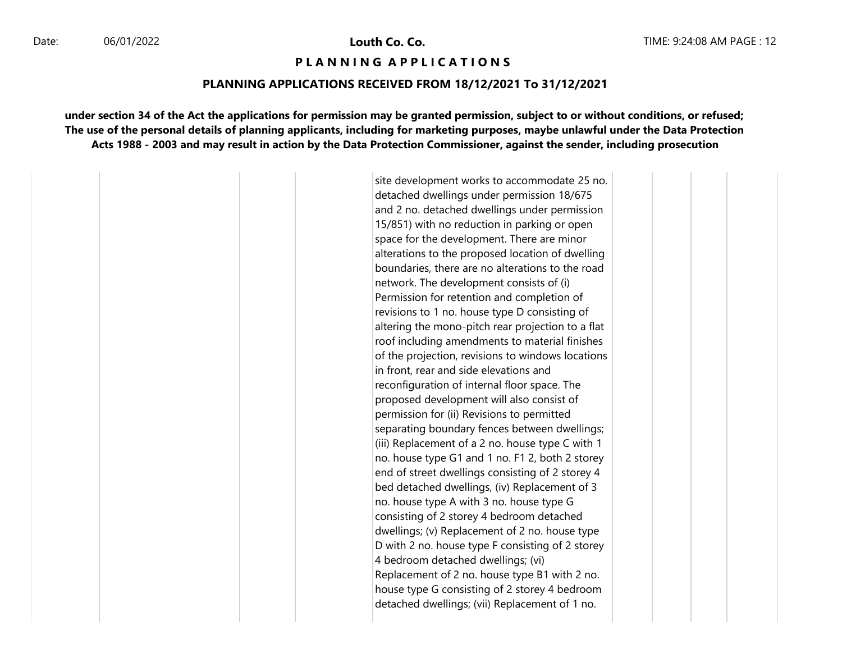#### **P L A N N I N G A P P L I C A T I O N S**

#### **PLANNING APPLICATIONS RECEIVED FROM 18/12/2021 To 31/12/2021**

**under section 34 of the Act the applications for permission may be granted permission, subject to or without conditions, or refused; The use of the personal details of planning applicants, including for marketing purposes, maybe unlawful under the Data Protection Acts 1988 - 2003 and may result in action by the Data Protection Commissioner, against the sender, including prosecution**

> site development works to accommodate 25 no. detached dwellings under permission 18/675 and 2 no. detached dwellings under permission 15/851) with no reduction in parking or open space for the development. There are minor alterations to the proposed location of dwelling boundaries, there are no alterations to the road network. The development consists of (i) Permission for retention and completion of revisions to 1 no. house type D consisting of altering the mono-pitch rear projection to a flat roof including amendments to material finishes of the projection, revisions to windows locations in front, rear and side elevations and reconfiguration of internal floor space. The proposed development will also consist of permission for (ii) Revisions to permitted separating boundary fences between dwellings; (iii) Replacement of a 2 no. house type C with 1 no. house type G1 and 1 no. F1 2, both 2 storey end of street dwellings consisting of 2 storey 4 bed detached dwellings, (iv) Replacement of 3 no. house type A with 3 no. house type G consisting of 2 storey 4 bedroom detached dwellings; (v) Replacement of 2 no. house type D with 2 no. house type F consisting of 2 storey 4 bedroom detached dwellings; (vi) Replacement of 2 no. house type B1 with 2 no. house type G consisting of 2 storey 4 bedroom detached dwellings; (vii) Replacement of 1 no.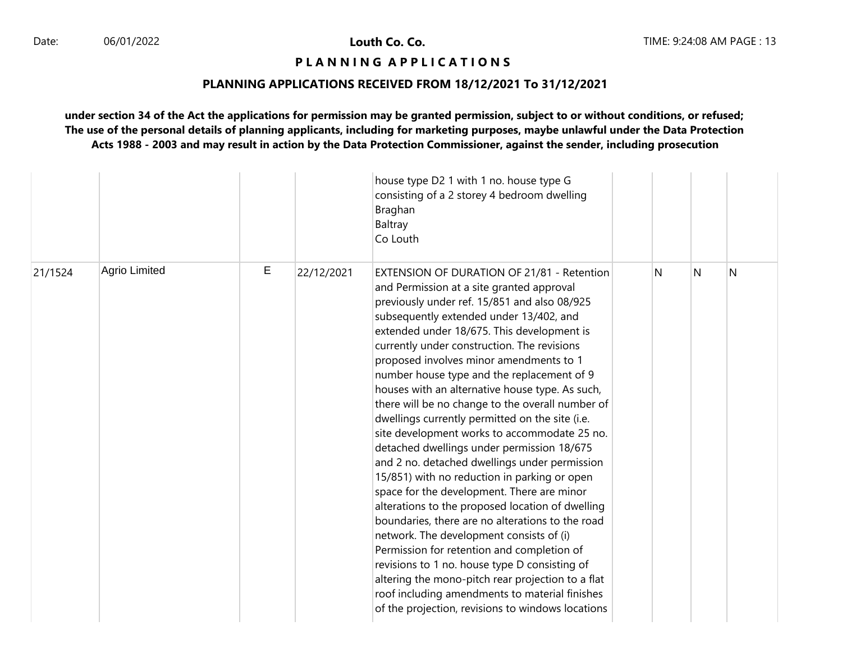# **P L A N N I N G A P P L I C A T I O N S**

# **PLANNING APPLICATIONS RECEIVED FROM 18/12/2021 To 31/12/2021**

|         |               |   |            | house type D2 1 with 1 no. house type G<br>consisting of a 2 storey 4 bedroom dwelling<br>Braghan<br>Baltray<br>Co Louth                                                                                                                                                                                                                                                                                                                                                                                                                                                                                                                                                                                                                                                                                                                                                                                                                                                                                                                                                                                                                                                                              |   |   |   |
|---------|---------------|---|------------|-------------------------------------------------------------------------------------------------------------------------------------------------------------------------------------------------------------------------------------------------------------------------------------------------------------------------------------------------------------------------------------------------------------------------------------------------------------------------------------------------------------------------------------------------------------------------------------------------------------------------------------------------------------------------------------------------------------------------------------------------------------------------------------------------------------------------------------------------------------------------------------------------------------------------------------------------------------------------------------------------------------------------------------------------------------------------------------------------------------------------------------------------------------------------------------------------------|---|---|---|
| 21/1524 | Agrio Limited | E | 22/12/2021 | <b>EXTENSION OF DURATION OF 21/81 - Retention</b><br>and Permission at a site granted approval<br>previously under ref. 15/851 and also 08/925<br>subsequently extended under 13/402, and<br>extended under 18/675. This development is<br>currently under construction. The revisions<br>proposed involves minor amendments to 1<br>number house type and the replacement of 9<br>houses with an alternative house type. As such,<br>there will be no change to the overall number of<br>dwellings currently permitted on the site (i.e.<br>site development works to accommodate 25 no.<br>detached dwellings under permission 18/675<br>and 2 no. detached dwellings under permission<br>15/851) with no reduction in parking or open<br>space for the development. There are minor<br>alterations to the proposed location of dwelling<br>boundaries, there are no alterations to the road<br>network. The development consists of (i)<br>Permission for retention and completion of<br>revisions to 1 no. house type D consisting of<br>altering the mono-pitch rear projection to a flat<br>roof including amendments to material finishes<br>of the projection, revisions to windows locations | N | N | N |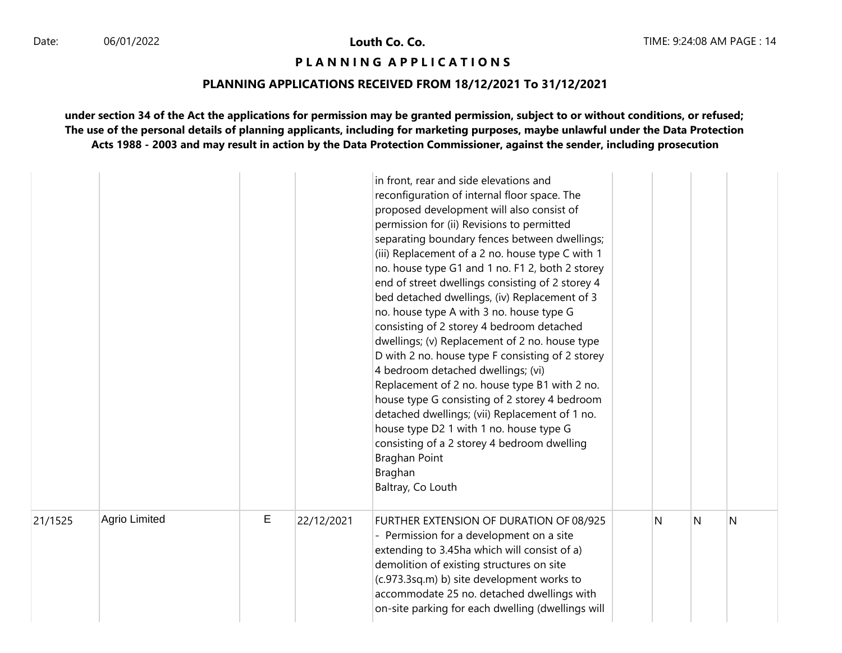# **P L A N N I N G A P P L I C A T I O N S**

### **PLANNING APPLICATIONS RECEIVED FROM 18/12/2021 To 31/12/2021**

|         |                      |   |            | in front, rear and side elevations and<br>reconfiguration of internal floor space. The<br>proposed development will also consist of<br>permission for (ii) Revisions to permitted<br>separating boundary fences between dwellings;<br>(iii) Replacement of a 2 no. house type C with 1<br>no. house type G1 and 1 no. F1 2, both 2 storey<br>end of street dwellings consisting of 2 storey 4<br>bed detached dwellings, (iv) Replacement of 3<br>no. house type A with 3 no. house type G<br>consisting of 2 storey 4 bedroom detached<br>dwellings; (v) Replacement of 2 no. house type<br>D with 2 no. house type F consisting of 2 storey<br>4 bedroom detached dwellings; (vi)<br>Replacement of 2 no. house type B1 with 2 no.<br>house type G consisting of 2 storey 4 bedroom<br>detached dwellings; (vii) Replacement of 1 no.<br>house type D2 1 with 1 no. house type G<br>consisting of a 2 storey 4 bedroom dwelling<br>Braghan Point<br>Braghan<br>Baltray, Co Louth |   |   |   |
|---------|----------------------|---|------------|------------------------------------------------------------------------------------------------------------------------------------------------------------------------------------------------------------------------------------------------------------------------------------------------------------------------------------------------------------------------------------------------------------------------------------------------------------------------------------------------------------------------------------------------------------------------------------------------------------------------------------------------------------------------------------------------------------------------------------------------------------------------------------------------------------------------------------------------------------------------------------------------------------------------------------------------------------------------------------|---|---|---|
| 21/1525 | <b>Agrio Limited</b> | E | 22/12/2021 | FURTHER EXTENSION OF DURATION OF 08/925<br>- Permission for a development on a site<br>extending to 3.45ha which will consist of a)<br>demolition of existing structures on site<br>(c.973.3sq.m) b) site development works to<br>accommodate 25 no. detached dwellings with<br>on-site parking for each dwelling (dwellings will                                                                                                                                                                                                                                                                                                                                                                                                                                                                                                                                                                                                                                                  | N | N | N |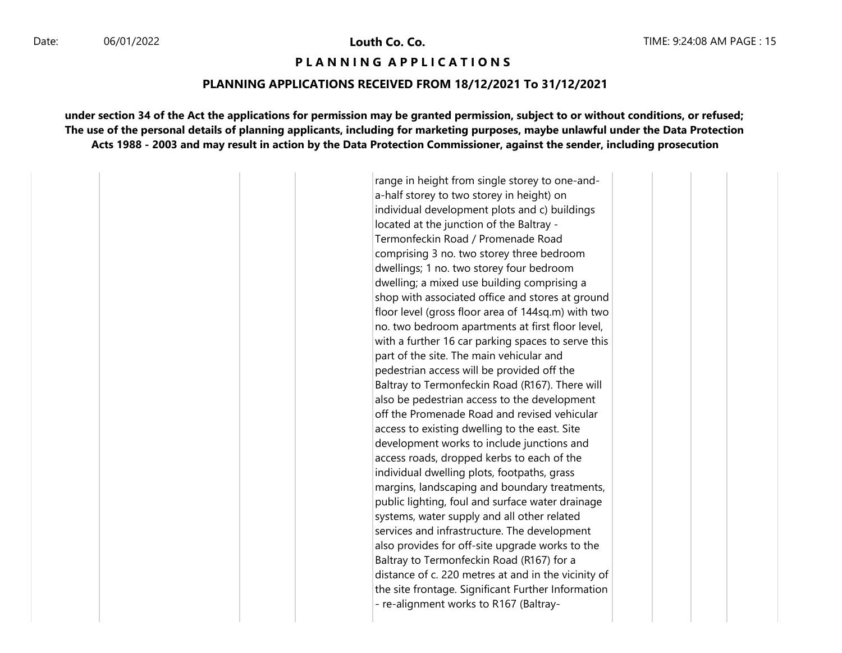#### **P L A N N I N G A P P L I C A T I O N S**

#### **PLANNING APPLICATIONS RECEIVED FROM 18/12/2021 To 31/12/2021**

**under section 34 of the Act the applications for permission may be granted permission, subject to or without conditions, or refused; The use of the personal details of planning applicants, including for marketing purposes, maybe unlawful under the Data Protection Acts 1988 - 2003 and may result in action by the Data Protection Commissioner, against the sender, including prosecution**

> range in height from single storey to one-anda-half storey to two storey in height) on individual development plots and c) buildings located at the junction of the Baltray - Termonfeckin Road / Promenade Road comprising 3 no. two storey three bedroom dwellings; 1 no. two storey four bedroom dwelling; a mixed use building comprising a shop with associated office and stores at ground floor level (gross floor area of 144sq.m) with two no. two bedroom apartments at first floor level, with a further 16 car parking spaces to serve this part of the site. The main vehicular and pedestrian access will be provided off the Baltray to Termonfeckin Road (R167). There will also be pedestrian access to the development off the Promenade Road and revised vehicular access to existing dwelling to the east. Site development works to include junctions and access roads, dropped kerbs to each of the individual dwelling plots, footpaths, grass margins, landscaping and boundary treatments, public lighting, foul and surface water drainage systems, water supply and all other related services and infrastructure. The development also provides for off-site upgrade works to the Baltray to Termonfeckin Road (R167) for a distance of c. 220 metres at and in the vicinity of the site frontage. Significant Further Information - re-alignment works to R167 (Baltray-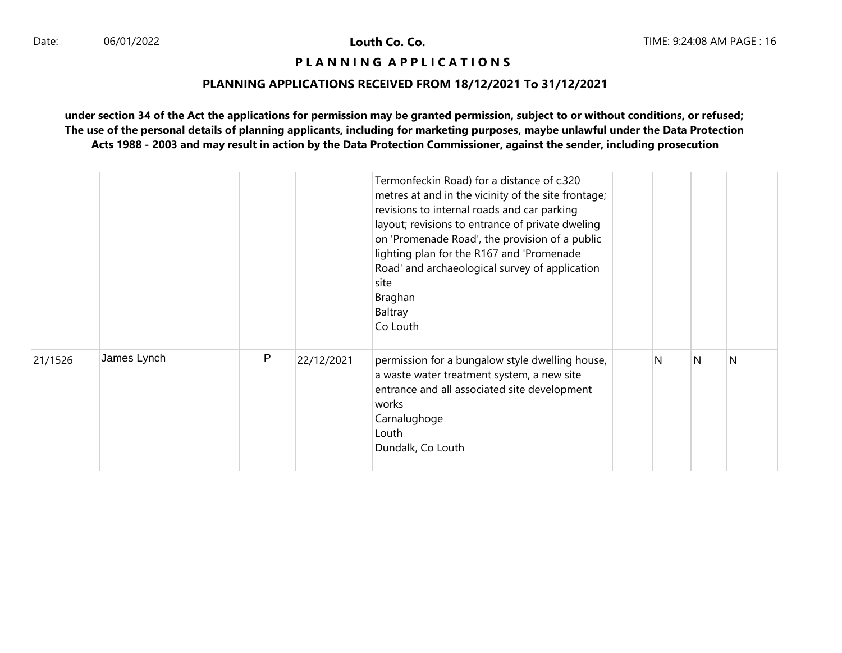# **P L A N N I N G A P P L I C A T I O N S**

# **PLANNING APPLICATIONS RECEIVED FROM 18/12/2021 To 31/12/2021**

|         |             |   |            | Termonfeckin Road) for a distance of c.320<br>metres at and in the vicinity of the site frontage;<br>revisions to internal roads and car parking<br>layout; revisions to entrance of private dweling<br>on 'Promenade Road', the provision of a public<br>lighting plan for the R167 and 'Promenade<br>Road' and archaeological survey of application<br>site<br>Braghan<br>Baltray<br>Co Louth |   |   |   |
|---------|-------------|---|------------|-------------------------------------------------------------------------------------------------------------------------------------------------------------------------------------------------------------------------------------------------------------------------------------------------------------------------------------------------------------------------------------------------|---|---|---|
| 21/1526 | James Lynch | P | 22/12/2021 | permission for a bungalow style dwelling house,<br>a waste water treatment system, a new site<br>entrance and all associated site development<br>works<br>Carnalughoge<br>Louth<br>Dundalk, Co Louth                                                                                                                                                                                            | N | N | N |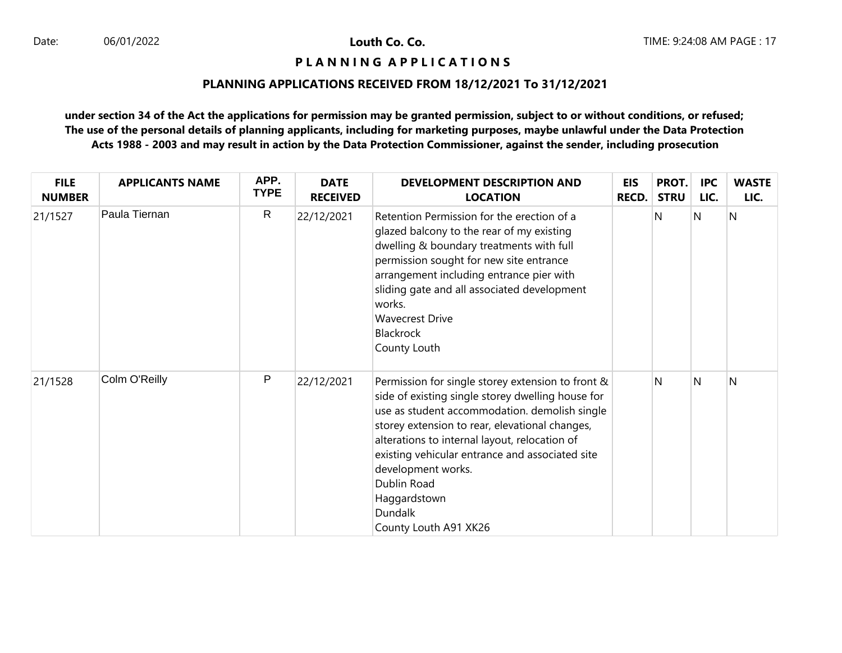# **P L A N N I N G A P P L I C A T I O N S**

# **PLANNING APPLICATIONS RECEIVED FROM 18/12/2021 To 31/12/2021**

| <b>FILE</b><br><b>NUMBER</b> | <b>APPLICANTS NAME</b> | APP.<br><b>TYPE</b> | <b>DATE</b><br><b>RECEIVED</b> | DEVELOPMENT DESCRIPTION AND<br><b>LOCATION</b>                                                                                                                                                                                                                                                                                                                                                                | EIS<br><b>RECD.</b> | PROT.<br><b>STRU</b> | <b>IPC</b><br>LIC. | <b>WASTE</b><br>LIC. |
|------------------------------|------------------------|---------------------|--------------------------------|---------------------------------------------------------------------------------------------------------------------------------------------------------------------------------------------------------------------------------------------------------------------------------------------------------------------------------------------------------------------------------------------------------------|---------------------|----------------------|--------------------|----------------------|
| 21/1527                      | Paula Tiernan          | $\mathsf{R}$        | 22/12/2021                     | Retention Permission for the erection of a<br>glazed balcony to the rear of my existing<br>dwelling & boundary treatments with full<br>permission sought for new site entrance<br>arrangement including entrance pier with<br>sliding gate and all associated development<br>works.<br><b>Wavecrest Drive</b><br>Blackrock<br>County Louth                                                                    |                     | N                    | <sup>N</sup>       | N                    |
| 21/1528                      | Colm O'Reilly          | P                   | 22/12/2021                     | Permission for single storey extension to front &<br>side of existing single storey dwelling house for<br>use as student accommodation. demolish single<br>storey extension to rear, elevational changes,<br>alterations to internal layout, relocation of<br>existing vehicular entrance and associated site<br>development works.<br>Dublin Road<br>Haggardstown<br><b>Dundalk</b><br>County Louth A91 XK26 |                     | N                    | <sup>N</sup>       | N                    |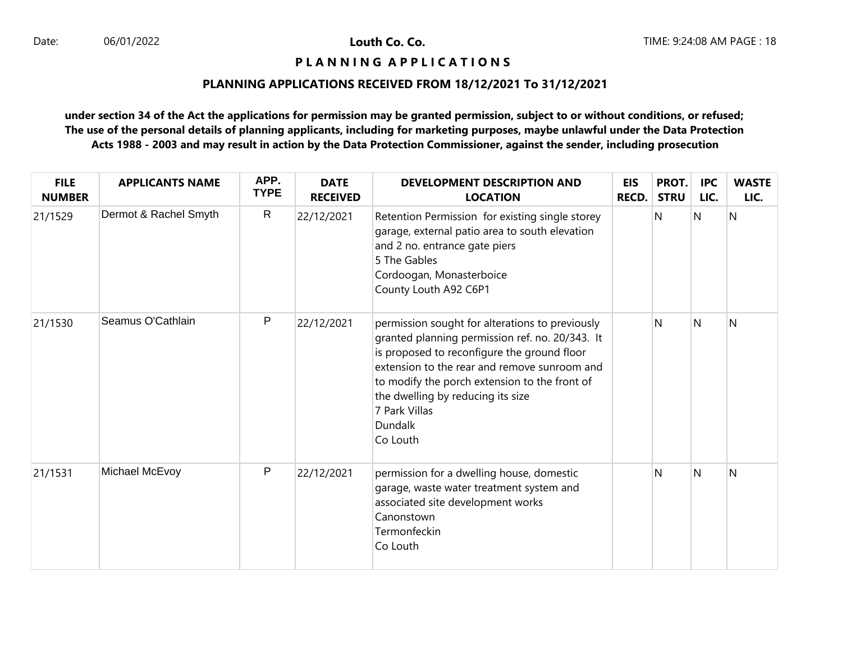# **P L A N N I N G A P P L I C A T I O N S**

# **PLANNING APPLICATIONS RECEIVED FROM 18/12/2021 To 31/12/2021**

| <b>FILE</b><br><b>NUMBER</b> | <b>APPLICANTS NAME</b> | APP.<br><b>TYPE</b> | <b>DATE</b><br><b>RECEIVED</b> | <b>DEVELOPMENT DESCRIPTION AND</b><br><b>LOCATION</b>                                                                                                                                                                                                                                                                                  | <b>EIS</b><br><b>RECD.</b> | PROT.<br><b>STRU</b> | <b>IPC</b><br>LIC. | <b>WASTE</b><br>LIC. |
|------------------------------|------------------------|---------------------|--------------------------------|----------------------------------------------------------------------------------------------------------------------------------------------------------------------------------------------------------------------------------------------------------------------------------------------------------------------------------------|----------------------------|----------------------|--------------------|----------------------|
| 21/1529                      | Dermot & Rachel Smyth  | ${\sf R}$           | 22/12/2021                     | Retention Permission for existing single storey<br>garage, external patio area to south elevation<br>and 2 no. entrance gate piers<br>5 The Gables<br>Cordoogan, Monasterboice<br>County Louth A92 C6P1                                                                                                                                |                            | N                    | N                  | $\overline{N}$       |
| 21/1530                      | Seamus O'Cathlain      | $\mathsf{P}$        | 22/12/2021                     | permission sought for alterations to previously<br>granted planning permission ref. no. 20/343. It<br>is proposed to reconfigure the ground floor<br>extension to the rear and remove sunroom and<br>to modify the porch extension to the front of<br>the dwelling by reducing its size<br>7 Park Villas<br><b>Dundalk</b><br>Co Louth |                            | N                    | N                  | N                    |
| 21/1531                      | Michael McEvoy         | P                   | 22/12/2021                     | permission for a dwelling house, domestic<br>garage, waste water treatment system and<br>associated site development works<br>Canonstown<br>Termonfeckin<br>Co Louth                                                                                                                                                                   |                            | N                    | N                  | N                    |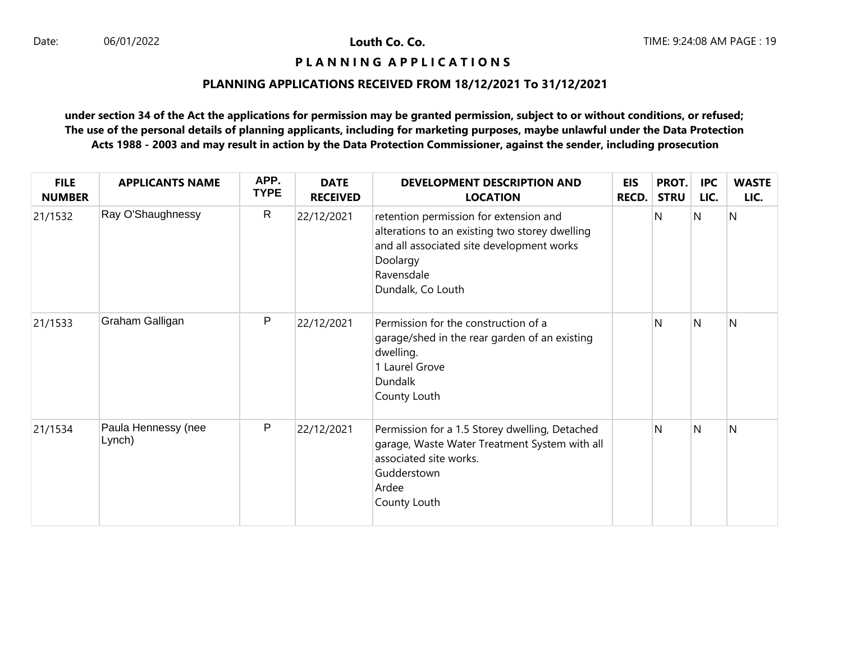# **P L A N N I N G A P P L I C A T I O N S**

# **PLANNING APPLICATIONS RECEIVED FROM 18/12/2021 To 31/12/2021**

| <b>FILE</b><br><b>NUMBER</b> | <b>APPLICANTS NAME</b>        | APP.<br><b>TYPE</b> | <b>DATE</b><br><b>RECEIVED</b> | DEVELOPMENT DESCRIPTION AND<br><b>LOCATION</b>                                                                                                                                       | <b>EIS</b><br><b>RECD.</b> | PROT.<br><b>STRU</b> | <b>IPC</b><br>LIC. | <b>WASTE</b><br>LIC. |
|------------------------------|-------------------------------|---------------------|--------------------------------|--------------------------------------------------------------------------------------------------------------------------------------------------------------------------------------|----------------------------|----------------------|--------------------|----------------------|
| 21/1532                      | Ray O'Shaughnessy             | $\mathsf{R}$        | 22/12/2021                     | retention permission for extension and<br>alterations to an existing two storey dwelling<br>and all associated site development works<br>Doolargy<br>Ravensdale<br>Dundalk, Co Louth |                            | N                    | N                  | $\overline{N}$       |
| 21/1533                      | Graham Galligan               | P                   | 22/12/2021                     | Permission for the construction of a<br>garage/shed in the rear garden of an existing<br>dwelling.<br>1 Laurel Grove<br>Dundalk<br>County Louth                                      |                            | N                    | N                  | N                    |
| 21/1534                      | Paula Hennessy (nee<br>Lynch) | P                   | 22/12/2021                     | Permission for a 1.5 Storey dwelling, Detached<br>garage, Waste Water Treatment System with all<br>associated site works.<br>Gudderstown<br>Ardee<br>County Louth                    |                            | N                    | N                  | N                    |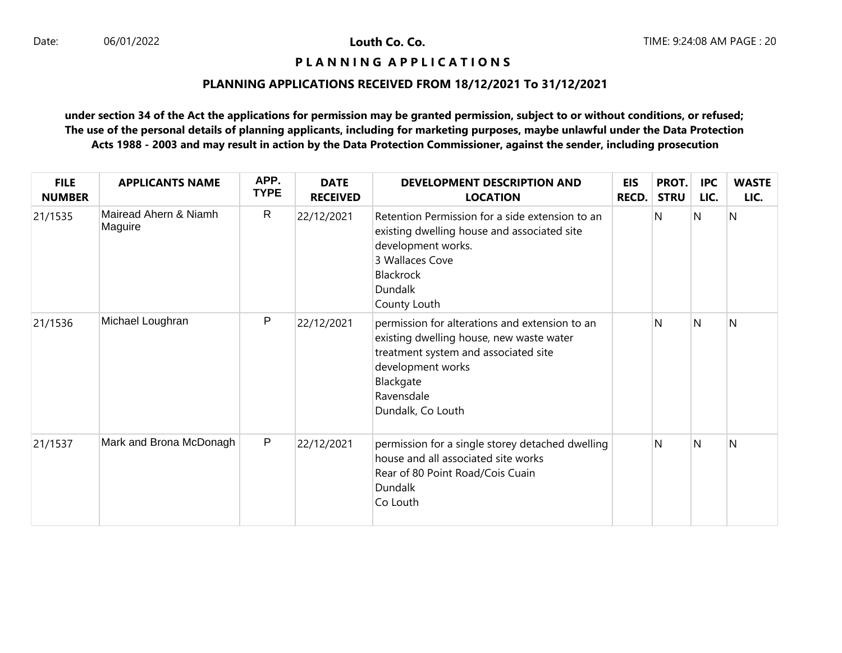# **P L A N N I N G A P P L I C A T I O N S**

# **PLANNING APPLICATIONS RECEIVED FROM 18/12/2021 To 31/12/2021**

| <b>FILE</b><br><b>NUMBER</b> | <b>APPLICANTS NAME</b>           | APP.<br><b>TYPE</b> | <b>DATE</b><br><b>RECEIVED</b> | <b>DEVELOPMENT DESCRIPTION AND</b><br><b>LOCATION</b>                                                                                                                                                   | <b>EIS</b><br><b>RECD.</b> | PROT.<br><b>STRU</b> | <b>IPC</b><br>LIC. | <b>WASTE</b><br>LIC. |
|------------------------------|----------------------------------|---------------------|--------------------------------|---------------------------------------------------------------------------------------------------------------------------------------------------------------------------------------------------------|----------------------------|----------------------|--------------------|----------------------|
| 21/1535                      | Mairead Ahern & Niamh<br>Maguire | $\mathsf{R}$        | 22/12/2021                     | Retention Permission for a side extension to an<br>existing dwelling house and associated site<br>development works.<br>3 Wallaces Cove<br>Blackrock<br>Dundalk<br>County Louth                         |                            | N                    | N                  | N                    |
| 21/1536                      | Michael Loughran                 | P                   | 22/12/2021                     | permission for alterations and extension to an<br>existing dwelling house, new waste water<br>treatment system and associated site<br>development works<br>Blackgate<br>Ravensdale<br>Dundalk, Co Louth |                            | N                    | N                  | N                    |
| 21/1537                      | Mark and Brona McDonagh          | $\mathsf{P}$        | 22/12/2021                     | permission for a single storey detached dwelling<br>house and all associated site works<br>Rear of 80 Point Road/Cois Cuain<br>Dundalk<br>Co Louth                                                      |                            | Ν                    | N                  | N                    |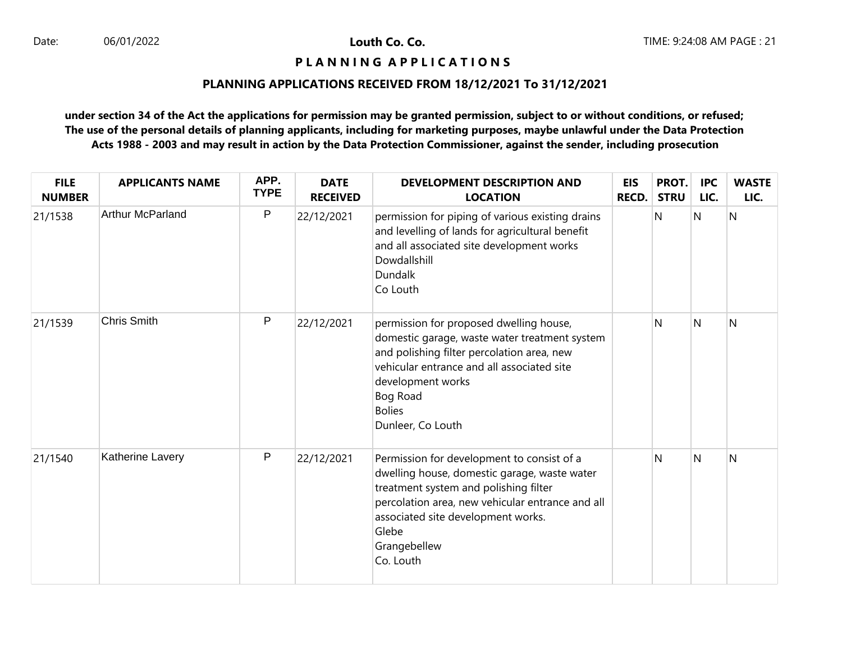## **P L A N N I N G A P P L I C A T I O N S**

# **PLANNING APPLICATIONS RECEIVED FROM 18/12/2021 To 31/12/2021**

| <b>FILE</b><br><b>NUMBER</b> | <b>APPLICANTS NAME</b>  | APP.<br><b>TYPE</b> | <b>DATE</b><br><b>RECEIVED</b> | <b>DEVELOPMENT DESCRIPTION AND</b><br><b>LOCATION</b>                                                                                                                                                                                                               | <b>EIS</b><br><b>RECD.</b> | PROT.<br><b>STRU</b> | <b>IPC</b><br>LIC. | <b>WASTE</b><br>LIC. |
|------------------------------|-------------------------|---------------------|--------------------------------|---------------------------------------------------------------------------------------------------------------------------------------------------------------------------------------------------------------------------------------------------------------------|----------------------------|----------------------|--------------------|----------------------|
| 21/1538                      | <b>Arthur McParland</b> | $\mathsf{P}$        | 22/12/2021                     | permission for piping of various existing drains<br>and levelling of lands for agricultural benefit<br>and all associated site development works<br>Dowdallshill<br>Dundalk<br>Co Louth                                                                             |                            | N                    | N                  | N                    |
| 21/1539                      | Chris Smith             | $\mathsf{P}$        | 22/12/2021                     | permission for proposed dwelling house,<br>domestic garage, waste water treatment system<br>and polishing filter percolation area, new<br>vehicular entrance and all associated site<br>development works<br>Bog Road<br><b>Bolies</b><br>Dunleer, Co Louth         |                            | N                    | N                  | N                    |
| 21/1540                      | Katherine Lavery        | $\mathsf{P}$        | 22/12/2021                     | Permission for development to consist of a<br>dwelling house, domestic garage, waste water<br>treatment system and polishing filter<br>percolation area, new vehicular entrance and all<br>associated site development works.<br>Glebe<br>Grangebellew<br>Co. Louth |                            | N                    | N                  | N                    |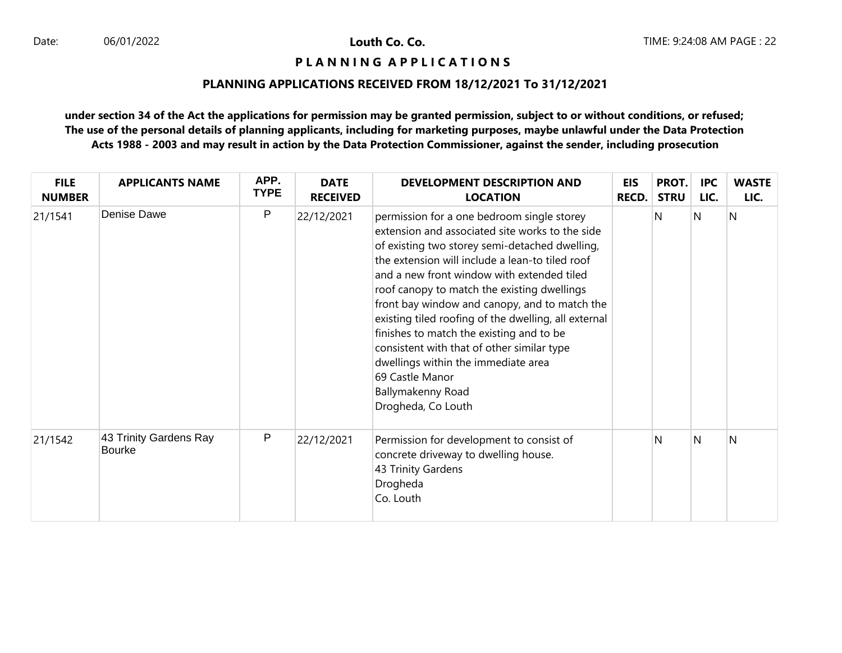## **P L A N N I N G A P P L I C A T I O N S**

# **PLANNING APPLICATIONS RECEIVED FROM 18/12/2021 To 31/12/2021**

| <b>FILE</b><br><b>NUMBER</b> | <b>APPLICANTS NAME</b>                  | APP.<br><b>TYPE</b> | <b>DATE</b><br><b>RECEIVED</b> | DEVELOPMENT DESCRIPTION AND<br><b>LOCATION</b>                                                                                                                                                                                                                                                                                                                                                                                                                                                                                                                                                          | <b>EIS</b><br>RECD. | PROT.<br><b>STRU</b> | <b>IPC</b><br>LIC. | <b>WASTE</b><br>LIC. |
|------------------------------|-----------------------------------------|---------------------|--------------------------------|---------------------------------------------------------------------------------------------------------------------------------------------------------------------------------------------------------------------------------------------------------------------------------------------------------------------------------------------------------------------------------------------------------------------------------------------------------------------------------------------------------------------------------------------------------------------------------------------------------|---------------------|----------------------|--------------------|----------------------|
| 21/1541                      | Denise Dawe                             | P                   | 22/12/2021                     | permission for a one bedroom single storey<br>extension and associated site works to the side<br>of existing two storey semi-detached dwelling,<br>the extension will include a lean-to tiled roof<br>and a new front window with extended tiled<br>roof canopy to match the existing dwellings<br>front bay window and canopy, and to match the<br>existing tiled roofing of the dwelling, all external<br>finishes to match the existing and to be<br>consistent with that of other similar type<br>dwellings within the immediate area<br>69 Castle Manor<br>Ballymakenny Road<br>Drogheda, Co Louth |                     | N                    | N                  | N                    |
| 21/1542                      | 43 Trinity Gardens Ray<br><b>Bourke</b> | P                   | 22/12/2021                     | Permission for development to consist of<br>concrete driveway to dwelling house.<br>43 Trinity Gardens<br>Drogheda<br>Co. Louth                                                                                                                                                                                                                                                                                                                                                                                                                                                                         |                     | N                    | N                  | N                    |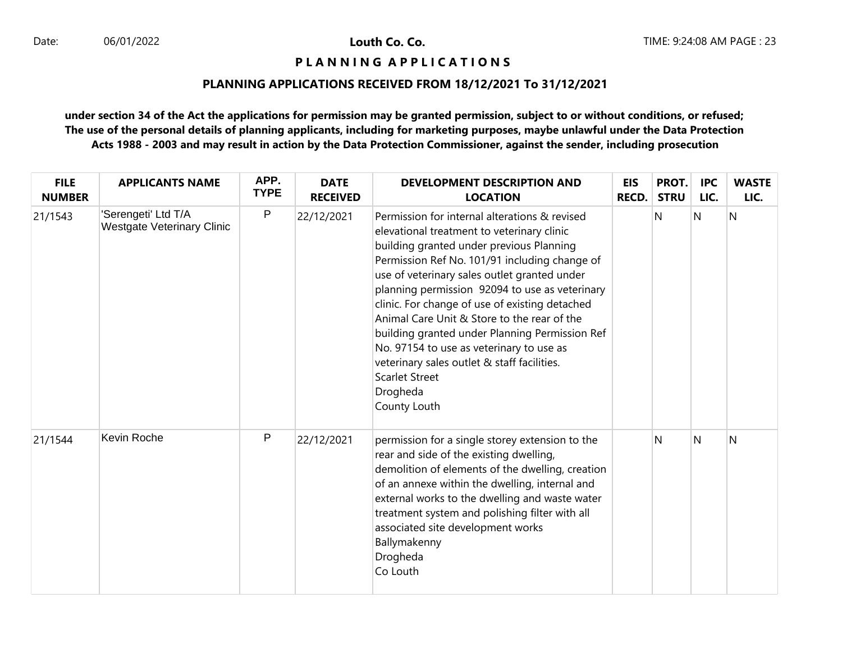# **P L A N N I N G A P P L I C A T I O N S**

# **PLANNING APPLICATIONS RECEIVED FROM 18/12/2021 To 31/12/2021**

| <b>FILE</b><br><b>NUMBER</b> | <b>APPLICANTS NAME</b>                                   | APP.<br><b>TYPE</b> | <b>DATE</b><br><b>RECEIVED</b> | <b>DEVELOPMENT DESCRIPTION AND</b><br><b>LOCATION</b>                                                                                                                                                                                                                                                                                                                                                                                                                                                                                                                                         | <b>EIS</b><br><b>RECD.</b> | PROT.<br><b>STRU</b> | <b>IPC</b><br>LIC. | <b>WASTE</b><br>LIC. |
|------------------------------|----------------------------------------------------------|---------------------|--------------------------------|-----------------------------------------------------------------------------------------------------------------------------------------------------------------------------------------------------------------------------------------------------------------------------------------------------------------------------------------------------------------------------------------------------------------------------------------------------------------------------------------------------------------------------------------------------------------------------------------------|----------------------------|----------------------|--------------------|----------------------|
| 21/1543                      | 'Serengeti' Ltd T/A<br><b>Westgate Veterinary Clinic</b> | P                   | 22/12/2021                     | Permission for internal alterations & revised<br>elevational treatment to veterinary clinic<br>building granted under previous Planning<br>Permission Ref No. 101/91 including change of<br>use of veterinary sales outlet granted under<br>planning permission 92094 to use as veterinary<br>clinic. For change of use of existing detached<br>Animal Care Unit & Store to the rear of the<br>building granted under Planning Permission Ref<br>No. 97154 to use as veterinary to use as<br>veterinary sales outlet & staff facilities.<br><b>Scarlet Street</b><br>Drogheda<br>County Louth |                            | N                    | N                  | $\overline{N}$       |
| 21/1544                      | Kevin Roche                                              | P                   | 22/12/2021                     | permission for a single storey extension to the<br>rear and side of the existing dwelling,<br>demolition of elements of the dwelling, creation<br>of an annexe within the dwelling, internal and<br>external works to the dwelling and waste water<br>treatment system and polishing filter with all<br>associated site development works<br>Ballymakenny<br>Drogheda<br>Co Louth                                                                                                                                                                                                             |                            | N                    | N                  | N                    |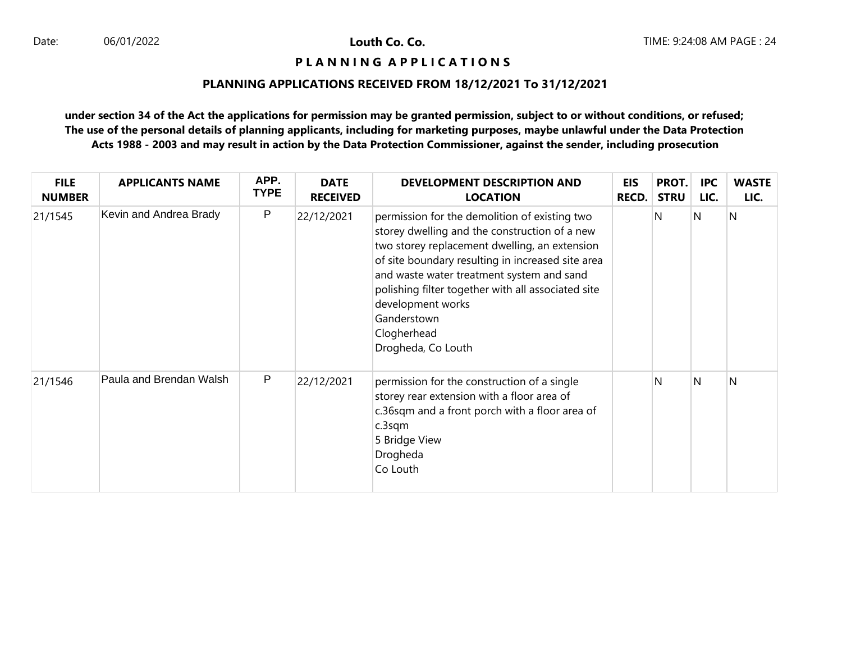# **P L A N N I N G A P P L I C A T I O N S**

# **PLANNING APPLICATIONS RECEIVED FROM 18/12/2021 To 31/12/2021**

| <b>FILE</b><br><b>NUMBER</b> | <b>APPLICANTS NAME</b>  | APP.<br><b>TYPE</b> | <b>DATE</b><br><b>RECEIVED</b> | <b>DEVELOPMENT DESCRIPTION AND</b><br><b>LOCATION</b>                                                                                                                                                                                                                                                                                                                            | <b>EIS</b><br><b>RECD.</b> | PROT.<br><b>STRU</b> | <b>IPC</b><br>LIC. | <b>WASTE</b><br>LIC. |
|------------------------------|-------------------------|---------------------|--------------------------------|----------------------------------------------------------------------------------------------------------------------------------------------------------------------------------------------------------------------------------------------------------------------------------------------------------------------------------------------------------------------------------|----------------------------|----------------------|--------------------|----------------------|
| 21/1545                      | Kevin and Andrea Brady  | P                   | 22/12/2021                     | permission for the demolition of existing two<br>storey dwelling and the construction of a new<br>two storey replacement dwelling, an extension<br>of site boundary resulting in increased site area<br>and waste water treatment system and sand<br>polishing filter together with all associated site<br>development works<br>Ganderstown<br>Clogherhead<br>Drogheda, Co Louth |                            | N                    | N                  | $\overline{N}$       |
| 21/1546                      | Paula and Brendan Walsh | P                   | 22/12/2021                     | permission for the construction of a single<br>storey rear extension with a floor area of<br>c.36sqm and a front porch with a floor area of<br>c.3sqm<br>5 Bridge View<br>Drogheda<br>Co Louth                                                                                                                                                                                   |                            | N                    | N                  | N                    |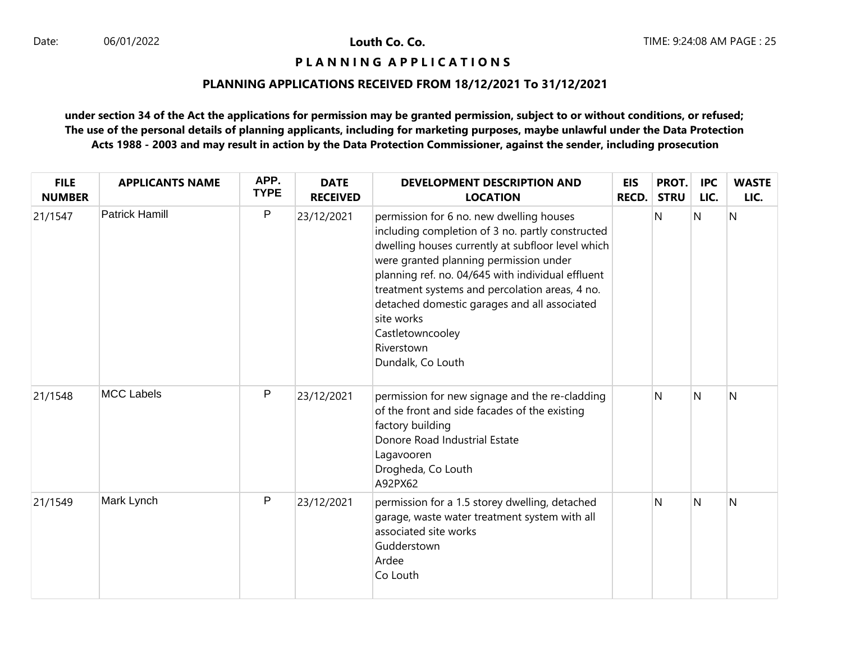# **P L A N N I N G A P P L I C A T I O N S**

### **PLANNING APPLICATIONS RECEIVED FROM 18/12/2021 To 31/12/2021**

| <b>FILE</b><br><b>NUMBER</b> | <b>APPLICANTS NAME</b> | APP.<br><b>TYPE</b> | <b>DATE</b><br><b>RECEIVED</b> | <b>DEVELOPMENT DESCRIPTION AND</b><br><b>LOCATION</b>                                                                                                                                                                                                                                                                                                                                                                   | <b>EIS</b><br><b>RECD.</b> | PROT.<br><b>STRU</b> | <b>IPC</b><br>LIC. | <b>WASTE</b><br>LIC. |
|------------------------------|------------------------|---------------------|--------------------------------|-------------------------------------------------------------------------------------------------------------------------------------------------------------------------------------------------------------------------------------------------------------------------------------------------------------------------------------------------------------------------------------------------------------------------|----------------------------|----------------------|--------------------|----------------------|
| 21/1547                      | <b>Patrick Hamill</b>  | P                   | 23/12/2021                     | permission for 6 no. new dwelling houses<br>including completion of 3 no. partly constructed<br>dwelling houses currently at subfloor level which<br>were granted planning permission under<br>planning ref. no. 04/645 with individual effluent<br>treatment systems and percolation areas, 4 no.<br>detached domestic garages and all associated<br>site works<br>Castletowncooley<br>Riverstown<br>Dundalk, Co Louth |                            | N                    | N                  | N                    |
| 21/1548                      | <b>MCC Labels</b>      | P                   | 23/12/2021                     | permission for new signage and the re-cladding<br>of the front and side facades of the existing<br>factory building<br>Donore Road Industrial Estate<br>Lagavooren<br>Drogheda, Co Louth<br>A92PX62                                                                                                                                                                                                                     |                            | N                    | N                  | N                    |
| 21/1549                      | Mark Lynch             | P                   | 23/12/2021                     | permission for a 1.5 storey dwelling, detached<br>garage, waste water treatment system with all<br>associated site works<br>Gudderstown<br>Ardee<br>Co Louth                                                                                                                                                                                                                                                            |                            | N                    | N                  | N                    |